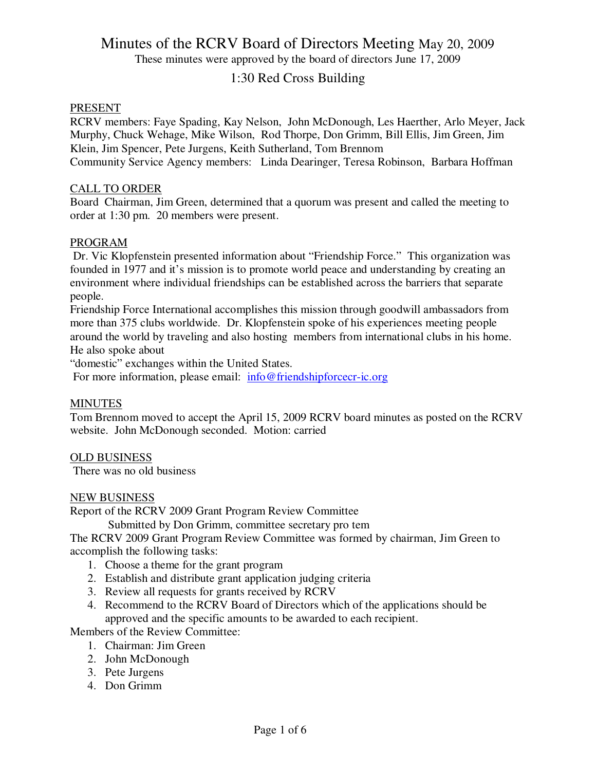These minutes were approved by the board of directors June 17, 2009

### 1:30 Red Cross Building

### PRESENT

RCRV members: Faye Spading, Kay Nelson, John McDonough, Les Haerther, Arlo Meyer, Jack Murphy, Chuck Wehage, Mike Wilson, Rod Thorpe, Don Grimm, Bill Ellis, Jim Green, Jim Klein, Jim Spencer, Pete Jurgens, Keith Sutherland, Tom Brennom Community Service Agency members: Linda Dearinger, Teresa Robinson, Barbara Hoffman

### CALL TO ORDER

Board Chairman, Jim Green, determined that a quorum was present and called the meeting to order at 1:30 pm. 20 members were present.

### PROGRAM

 Dr. Vic Klopfenstein presented information about "Friendship Force." This organization was founded in 1977 and it's mission is to promote world peace and understanding by creating an environment where individual friendships can be established across the barriers that separate people.

Friendship Force International accomplishes this mission through goodwill ambassadors from more than 375 clubs worldwide. Dr. Klopfenstein spoke of his experiences meeting people around the world by traveling and also hosting members from international clubs in his home. He also spoke about

"domestic" exchanges within the United States.

For more information, please email: info@friendshipforcecr-ic.org

### **MINUTES**

Tom Brennom moved to accept the April 15, 2009 RCRV board minutes as posted on the RCRV website. John McDonough seconded. Motion: carried

### OLD BUSINESS

There was no old business

### NEW BUSINESS

Report of the RCRV 2009 Grant Program Review Committee

Submitted by Don Grimm, committee secretary pro tem

The RCRV 2009 Grant Program Review Committee was formed by chairman, Jim Green to accomplish the following tasks:

- 1. Choose a theme for the grant program
- 2. Establish and distribute grant application judging criteria
- 3. Review all requests for grants received by RCRV
- 4. Recommend to the RCRV Board of Directors which of the applications should be approved and the specific amounts to be awarded to each recipient.

Members of the Review Committee:

- 1. Chairman: Jim Green
- 2. John McDonough
- 3. Pete Jurgens
- 4. Don Grimm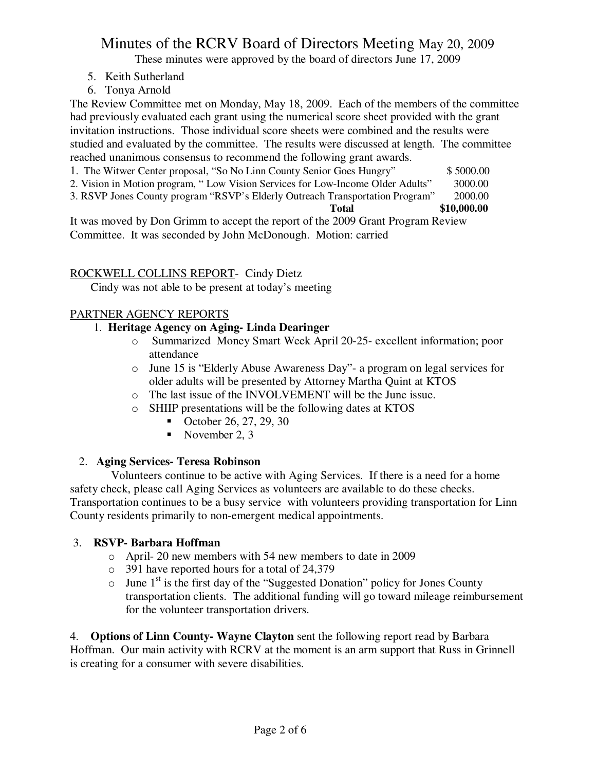These minutes were approved by the board of directors June 17, 2009

- 5. Keith Sutherland
- 6. Tonya Arnold

The Review Committee met on Monday, May 18, 2009. Each of the members of the committee had previously evaluated each grant using the numerical score sheet provided with the grant invitation instructions. Those individual score sheets were combined and the results were studied and evaluated by the committee. The results were discussed at length. The committee reached unanimous consensus to recommend the following grant awards.

- 1. The Witwer Center proposal, "So No Linn County Senior Goes Hungry" \$ 5000.00
- 2. Vision in Motion program, " Low Vision Services for Low-Income Older Adults" 3000.00
- 3. RSVP Jones County program "RSVP's Elderly Outreach Transportation Program" 2000.00

**Total \$10,000.00** 

It was moved by Don Grimm to accept the report of the 2009 Grant Program Review Committee. It was seconded by John McDonough. Motion: carried

### ROCKWELL COLLINS REPORT- Cindy Dietz

Cindy was not able to be present at today's meeting

### PARTNER AGENCY REPORTS

### 1. **Heritage Agency on Aging- Linda Dearinger**

- o Summarized Money Smart Week April 20-25- excellent information; poor attendance
- o June 15 is "Elderly Abuse Awareness Day"- a program on legal services for older adults will be presented by Attorney Martha Quint at KTOS
- o The last issue of the INVOLVEMENT will be the June issue.
- o SHIIP presentations will be the following dates at KTOS
	- October 26, 27, 29, 30
	- November 2, 3

## 2. **Aging Services- Teresa Robinson**

Volunteers continue to be active with Aging Services. If there is a need for a home safety check, please call Aging Services as volunteers are available to do these checks. Transportation continues to be a busy service with volunteers providing transportation for Linn County residents primarily to non-emergent medical appointments.

### 3. **RSVP- Barbara Hoffman**

- o April- 20 new members with 54 new members to date in 2009
- o 391 have reported hours for a total of 24,379
- $\circ$  June 1<sup>st</sup> is the first day of the "Suggested Donation" policy for Jones County transportation clients. The additional funding will go toward mileage reimbursement for the volunteer transportation drivers.

4. **Options of Linn County- Wayne Clayton** sent the following report read by Barbara Hoffman. Our main activity with RCRV at the moment is an arm support that Russ in Grinnell is creating for a consumer with severe disabilities.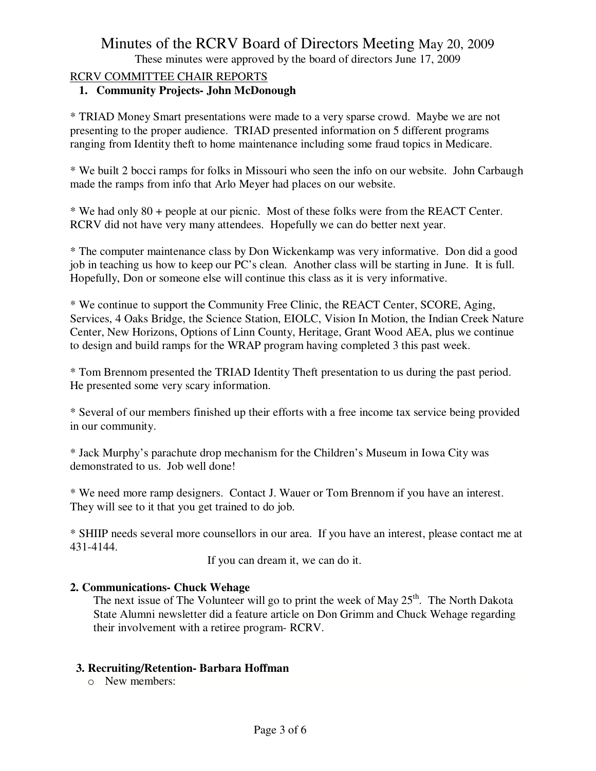These minutes were approved by the board of directors June 17, 2009

### RCRV COMMITTEE CHAIR REPORTS

### **1. Community Projects- John McDonough**

\* TRIAD Money Smart presentations were made to a very sparse crowd. Maybe we are not presenting to the proper audience. TRIAD presented information on 5 different programs ranging from Identity theft to home maintenance including some fraud topics in Medicare.

\* We built 2 bocci ramps for folks in Missouri who seen the info on our website. John Carbaugh made the ramps from info that Arlo Meyer had places on our website.

\* We had only 80 + people at our picnic. Most of these folks were from the REACT Center. RCRV did not have very many attendees. Hopefully we can do better next year.

\* The computer maintenance class by Don Wickenkamp was very informative. Don did a good job in teaching us how to keep our PC's clean. Another class will be starting in June. It is full. Hopefully, Don or someone else will continue this class as it is very informative.

\* We continue to support the Community Free Clinic, the REACT Center, SCORE, Aging, Services, 4 Oaks Bridge, the Science Station, EIOLC, Vision In Motion, the Indian Creek Nature Center, New Horizons, Options of Linn County, Heritage, Grant Wood AEA, plus we continue to design and build ramps for the WRAP program having completed 3 this past week.

\* Tom Brennom presented the TRIAD Identity Theft presentation to us during the past period. He presented some very scary information.

\* Several of our members finished up their efforts with a free income tax service being provided in our community.

\* Jack Murphy's parachute drop mechanism for the Children's Museum in Iowa City was demonstrated to us. Job well done!

\* We need more ramp designers. Contact J. Wauer or Tom Brennom if you have an interest. They will see to it that you get trained to do job.

\* SHIIP needs several more counsellors in our area. If you have an interest, please contact me at 431-4144.

If you can dream it, we can do it.

### **2. Communications- Chuck Wehage**

The next issue of The Volunteer will go to print the week of May  $25<sup>th</sup>$ . The North Dakota State Alumni newsletter did a feature article on Don Grimm and Chuck Wehage regarding their involvement with a retiree program- RCRV.

### **3. Recruiting/Retention- Barbara Hoffman**

o New members: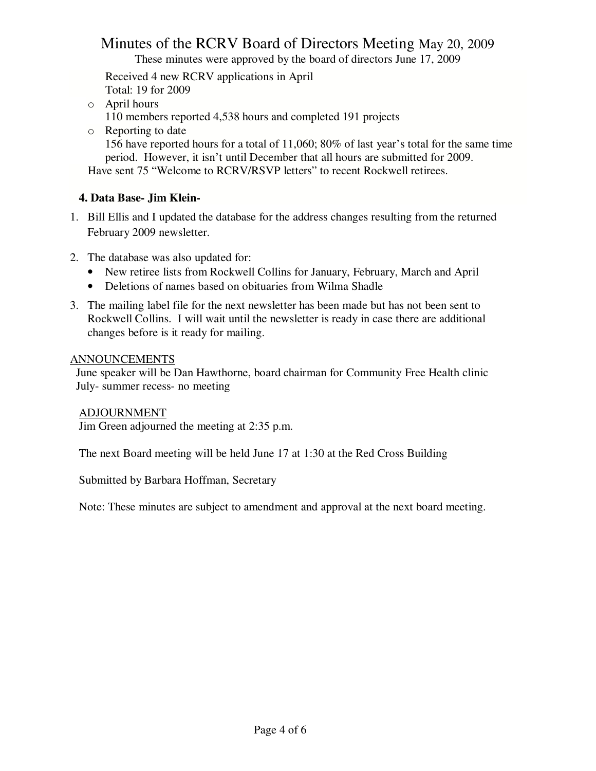These minutes were approved by the board of directors June 17, 2009

 Received 4 new RCRV applications in April Total: 19 for 2009

- o April hours 110 members reported 4,538 hours and completed 191 projects
- o Reporting to date

156 have reported hours for a total of 11,060; 80% of last year's total for the same time period. However, it isn't until December that all hours are submitted for 2009. Have sent 75 "Welcome to RCRV/RSVP letters" to recent Rockwell retirees.

### **4. Data Base- Jim Klein-**

- 1. Bill Ellis and I updated the database for the address changes resulting from the returned February 2009 newsletter.
- 2. The database was also updated for:
	- New retiree lists from Rockwell Collins for January, February, March and April
	- Deletions of names based on obituaries from Wilma Shadle
- 3. The mailing label file for the next newsletter has been made but has not been sent to Rockwell Collins. I will wait until the newsletter is ready in case there are additional changes before is it ready for mailing.

### ANNOUNCEMENTS

 June speaker will be Dan Hawthorne, board chairman for Community Free Health clinic July- summer recess- no meeting

### ADJOURNMENT

Jim Green adjourned the meeting at 2:35 p.m.

The next Board meeting will be held June 17 at 1:30 at the Red Cross Building

Submitted by Barbara Hoffman, Secretary

Note: These minutes are subject to amendment and approval at the next board meeting.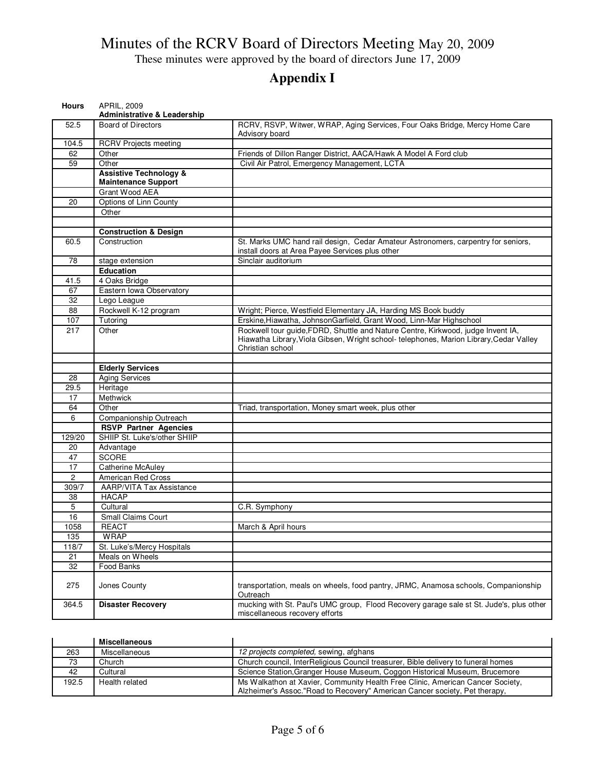These minutes were approved by the board of directors June 17, 2009

# **Appendix I**

| <b>Hours</b>   | <b>APRIL, 2009</b><br><b>Administrative &amp; Leadership</b>    |                                                                                                                                                                                                 |
|----------------|-----------------------------------------------------------------|-------------------------------------------------------------------------------------------------------------------------------------------------------------------------------------------------|
| 52.5           | <b>Board of Directors</b>                                       | RCRV, RSVP, Witwer, WRAP, Aging Services, Four Oaks Bridge, Mercy Home Care<br>Advisory board                                                                                                   |
| 104.5          | <b>RCRV Projects meeting</b>                                    |                                                                                                                                                                                                 |
| 62             | Other                                                           | Friends of Dillon Ranger District, AACA/Hawk A Model A Ford club                                                                                                                                |
| 59             | Other                                                           | Civil Air Patrol, Emergency Management, LCTA                                                                                                                                                    |
|                | <b>Assistive Technology &amp;</b><br><b>Maintenance Support</b> |                                                                                                                                                                                                 |
|                | Grant Wood AEA                                                  |                                                                                                                                                                                                 |
| 20             | Options of Linn County                                          |                                                                                                                                                                                                 |
|                | Other                                                           |                                                                                                                                                                                                 |
|                |                                                                 |                                                                                                                                                                                                 |
|                | <b>Construction &amp; Design</b>                                |                                                                                                                                                                                                 |
| 60.5           | Construction                                                    | St. Marks UMC hand rail design, Cedar Amateur Astronomers, carpentry for seniors,<br>install doors at Area Payee Services plus other                                                            |
| 78             | stage extension                                                 | Sinclair auditorium                                                                                                                                                                             |
|                | <b>Education</b>                                                |                                                                                                                                                                                                 |
| 41.5           | 4 Oaks Bridge                                                   |                                                                                                                                                                                                 |
| 67             | Eastern Iowa Observatory                                        |                                                                                                                                                                                                 |
| 32             | Lego League                                                     |                                                                                                                                                                                                 |
| 88             | Rockwell K-12 program                                           | Wright; Pierce, Westfield Elementary JA, Harding MS Book buddy                                                                                                                                  |
| 107            | Tutoring                                                        | Erskine, Hiawatha, Johnson Garfield, Grant Wood, Linn-Mar Highschool                                                                                                                            |
| 217            | Other                                                           | Rockwell tour guide, FDRD, Shuttle and Nature Centre, Kirkwood, judge Invent IA,<br>Hiawatha Library, Viola Gibsen, Wright school- telephones, Marion Library, Cedar Valley<br>Christian school |
|                |                                                                 |                                                                                                                                                                                                 |
|                | <b>Elderly Services</b>                                         |                                                                                                                                                                                                 |
| 28             | <b>Aging Services</b>                                           |                                                                                                                                                                                                 |
| 29.5           | Heritage                                                        |                                                                                                                                                                                                 |
| 17             | Methwick                                                        |                                                                                                                                                                                                 |
| 64             | Other                                                           | Triad, transportation, Money smart week, plus other                                                                                                                                             |
| 6              | Companionship Outreach                                          |                                                                                                                                                                                                 |
|                | <b>RSVP Partner Agencies</b>                                    |                                                                                                                                                                                                 |
| 129/20         | SHIIP St. Luke's/other SHIIP                                    |                                                                                                                                                                                                 |
| 20             | Advantage                                                       |                                                                                                                                                                                                 |
| 47             | <b>SCORE</b>                                                    |                                                                                                                                                                                                 |
| 17             | <b>Catherine McAuley</b>                                        |                                                                                                                                                                                                 |
| $\overline{2}$ | American Red Cross                                              |                                                                                                                                                                                                 |
| 309/7          | <b>AARP/VITA Tax Assistance</b>                                 |                                                                                                                                                                                                 |
| 38             | <b>HACAP</b>                                                    |                                                                                                                                                                                                 |
| 5              | Cultural                                                        | C.R. Symphony                                                                                                                                                                                   |
| 16             | Small Claims Court                                              |                                                                                                                                                                                                 |
| 1058           | <b>REACT</b>                                                    | March & April hours                                                                                                                                                                             |
| 135            | WRAP                                                            |                                                                                                                                                                                                 |
| 118/7          | St. Luke's/Mercy Hospitals                                      |                                                                                                                                                                                                 |
| 21             | Meals on Wheels                                                 |                                                                                                                                                                                                 |
| 32             | Food Banks                                                      |                                                                                                                                                                                                 |
| 275            | Jones County                                                    | transportation, meals on wheels, food pantry, JRMC, Anamosa schools, Companionship<br>Outreach                                                                                                  |
| 364.5          | <b>Disaster Recovery</b>                                        | mucking with St. Paul's UMC group, Flood Recovery garage sale st St. Jude's, plus other<br>miscellaneous recovery efforts                                                                       |

|       | Miscellaneous  |                                                                                   |
|-------|----------------|-----------------------------------------------------------------------------------|
| 263   | Miscellaneous  | 12 projects completed, sewing, afghans                                            |
| 73    | Church         | Church council, InterReligious Council treasurer, Bible delivery to funeral homes |
| 42    | Cultural       | Science Station, Granger House Museum, Coggon Historical Museum, Brucemore        |
| 192.5 | Health related | Ms Walkathon at Xavier, Community Health Free Clinic, American Cancer Society,    |
|       |                | Alzheimer's Assoc."Road to Recovery" American Cancer society, Pet therapy,        |